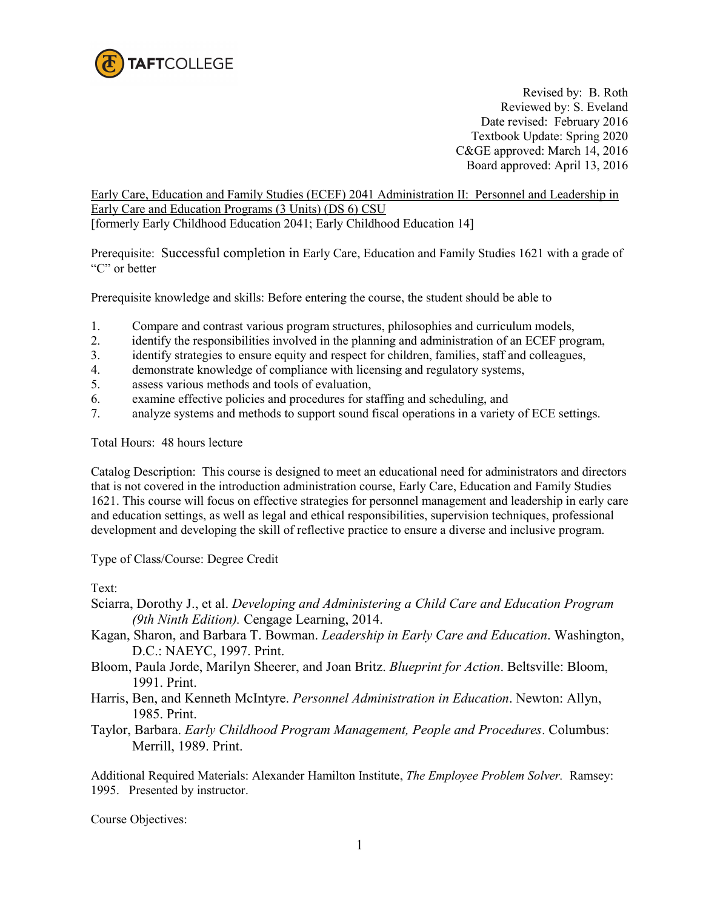

 Revised by: B. Roth Reviewed by: S. Eveland Date revised: February 2016 Textbook Update: Spring 2020 C&GE approved: March 14, 2016 Board approved: April 13, 2016

Early Care, Education and Family Studies (ECEF) 2041 Administration II: Personnel and Leadership in Early Care and Education Programs (3 Units) (DS 6) CSU

[formerly Early Childhood Education 2041; Early Childhood Education 14]

Prerequisite: Successful completion in Early Care, Education and Family Studies 1621 with a grade of "C" or better

Prerequisite knowledge and skills: Before entering the course, the student should be able to

- 1. Compare and contrast various program structures, philosophies and curriculum models,<br>2. identify the responsibilities involved in the planning and administration of an ECEF prog
- identify the responsibilities involved in the planning and administration of an ECEF program,
- 3. identify strategies to ensure equity and respect for children, families, staff and colleagues,
- 4. demonstrate knowledge of compliance with licensing and regulatory systems,
- 5. assess various methods and tools of evaluation,
- 6. examine effective policies and procedures for staffing and scheduling, and
- 7. analyze systems and methods to support sound fiscal operations in a variety of ECE settings.

Total Hours: 48 hours lecture

Catalog Description: This course is designed to meet an educational need for administrators and directors that is not covered in the introduction administration course, Early Care, Education and Family Studies 1621. This course will focus on effective strategies for personnel management and leadership in early care and education settings, as well as legal and ethical responsibilities, supervision techniques, professional development and developing the skill of reflective practice to ensure a diverse and inclusive program.

Type of Class/Course: Degree Credit

Text:

- Sciarra, Dorothy J., et al. *Developing and Administering a Child Care and Education Program (9th Ninth Edition).* Cengage Learning, 2014.
- Kagan, Sharon, and Barbara T. Bowman. *Leadership in Early Care and Education*. Washington, D.C.: NAEYC, 1997. Print.
- Bloom, Paula Jorde, Marilyn Sheerer, and Joan Britz. *Blueprint for Action*. Beltsville: Bloom, 1991. Print.
- Harris, Ben, and Kenneth McIntyre. *Personnel Administration in Education*. Newton: Allyn, 1985. Print.
- Taylor, Barbara. *Early Childhood Program Management, People and Procedures*. Columbus: Merrill, 1989. Print.

Additional Required Materials: Alexander Hamilton Institute, *The Employee Problem Solver.* Ramsey: 1995. Presented by instructor.

Course Objectives: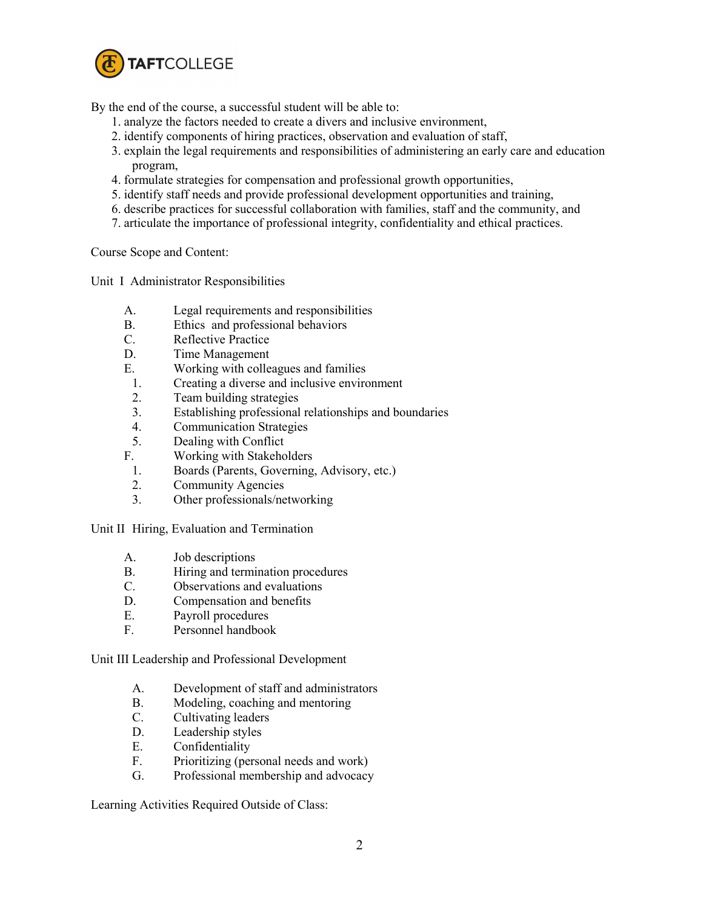

By the end of the course, a successful student will be able to:

- 1. analyze the factors needed to create a divers and inclusive environment,
- 2. identify components of hiring practices, observation and evaluation of staff,
- 3. explain the legal requirements and responsibilities of administering an early care and education program,
- 4. formulate strategies for compensation and professional growth opportunities,
- 5. identify staff needs and provide professional development opportunities and training,
- 6. describe practices for successful collaboration with families, staff and the community, and
- 7. articulate the importance of professional integrity, confidentiality and ethical practices.

Course Scope and Content:

Unit I Administrator Responsibilities

- A. Legal requirements and responsibilities
- B. Ethics and professional behaviors
- C. Reflective Practice
- D. Time Management
- E. Working with colleagues and families
- 1. Creating a diverse and inclusive environment
- 2. Team building strategies
- 3. Establishing professional relationships and boundaries
- 4. Communication Strategies
- 5. Dealing with Conflict
- F. Working with Stakeholders
- 1. Boards (Parents, Governing, Advisory, etc.)
- 2. Community Agencies<br>3. Other professionals/ne
- Other professionals/networking

Unit II Hiring, Evaluation and Termination

- A. Job descriptions
- B. Hiring and termination procedures
- C. Observations and evaluations
- D. Compensation and benefits
- E. Payroll procedures
- F. Personnel handbook

Unit III Leadership and Professional Development

- A. Development of staff and administrators
- B. Modeling, coaching and mentoring
- C. Cultivating leaders
- D. Leadership styles
- E. Confidentiality
- F. Prioritizing (personal needs and work)
- G. Professional membership and advocacy

Learning Activities Required Outside of Class: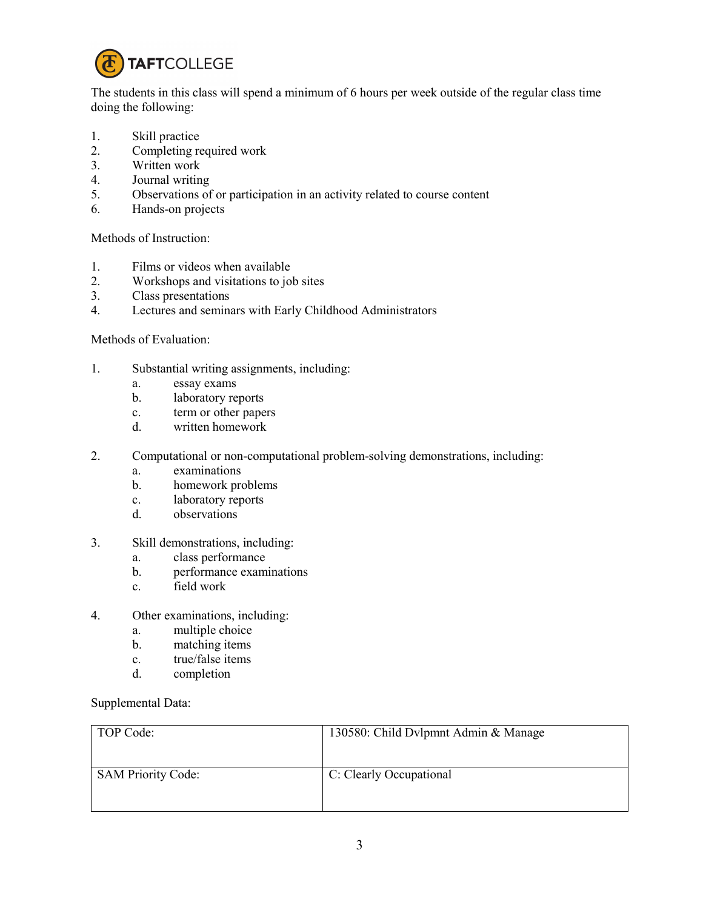

The students in this class will spend a minimum of 6 hours per week outside of the regular class time doing the following:

- 1. Skill practice
- 2. Completing required work
- 3. Written work
- 4. Journal writing
- 5. Observations of or participation in an activity related to course content
- 6. Hands-on projects

Methods of Instruction:

- 1. Films or videos when available<br>2. Workshops and visitations to io
- 2. Workshops and visitations to job sites
- 3. Class presentations
- 4. Lectures and seminars with Early Childhood Administrators

## Methods of Evaluation:

- 1. Substantial writing assignments, including:
	- a. essay exams
	- b. laboratory reports
	- c. term or other papers
	- d. written homework
- 2. Computational or non-computational problem-solving demonstrations, including:
	- a. examinations
	- b. homework problems
	- c. laboratory reports
	- d. observations
- 3. Skill demonstrations, including:
	- a. class performance
	- b. performance examinations
	- c. field work
- 4. Other examinations, including:
	- a. multiple choice
	- b. matching items
	- c. true/false items
	- d. completion

Supplemental Data:

| TOP Code:                 | 130580: Child Dylpmnt Admin & Manage |
|---------------------------|--------------------------------------|
| <b>SAM Priority Code:</b> | C: Clearly Occupational              |